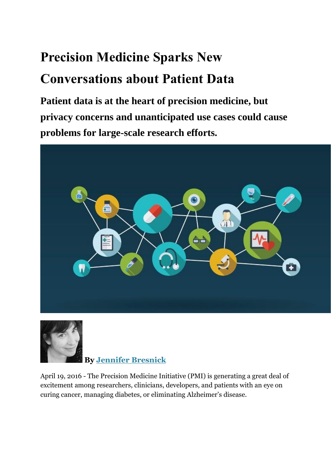## **Precision Medicine Sparks New Conversations about Patient Data**

**Patient data is at the heart of precision medicine, but privacy concerns and unanticipated use cases could cause problems for large-scale research efforts.**





**By [Jennifer Bresnick](mailto:jbresnick@xtelligentmedia.com)**

April 19, 2016 - The Precision Medicine Initiative (PMI) is generating a great deal of excitement among researchers, clinicians, developers, and patients with an eye on curing cancer, managing diabetes, or eliminating Alzheimer's disease.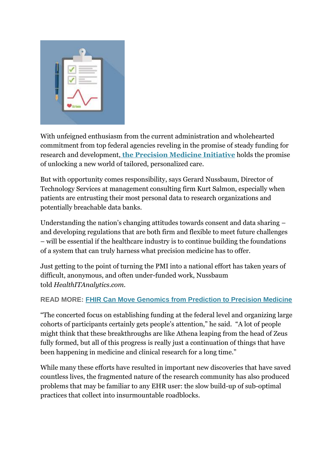

With unfeigned enthusiasm from the current administration and wholehearted commitment from top federal agencies reveling in the promise of steady funding for research and development, **[the Precision Medicine Initiative](https://healthitanalytics.com/news/top-5-basics-to-know-about-the-precision-medicine-initiative)** holds the promise of unlocking a new world of tailored, personalized care.

But with opportunity comes responsibility, says Gerard Nussbaum, Director of Technology Services at management consulting firm Kurt Salmon, especially when patients are entrusting their most personal data to research organizations and potentially breachable data banks.

Understanding the nation's changing attitudes towards consent and data sharing – and developing regulations that are both firm and flexible to meet future challenges – will be essential if the healthcare industry is to continue building the foundations of a system that can truly harness what precision medicine has to offer.

Just getting to the point of turning the PMI into a national effort has taken years of difficult, anonymous, and often under-funded work, Nussbaum told *HealthITAnalytics.com.*

## **READ MORE: [FHIR Can Move Genomics from Prediction to Precision Medicine](https://healthitanalytics.com/news/fhir-can-move-genomics-from-prediction-to-precision-medicine)**

"The concerted focus on establishing funding at the federal level and organizing large cohorts of participants certainly gets people's attention," he said. "A lot of people might think that these breakthroughs are like Athena leaping from the head of Zeus fully formed, but all of this progress is really just a continuation of things that have been happening in medicine and clinical research for a long time."

While many these efforts have resulted in important new discoveries that have saved countless lives, the fragmented nature of the research community has also produced problems that may be familiar to any EHR user: the slow build-up of sub-optimal practices that collect into insurmountable roadblocks.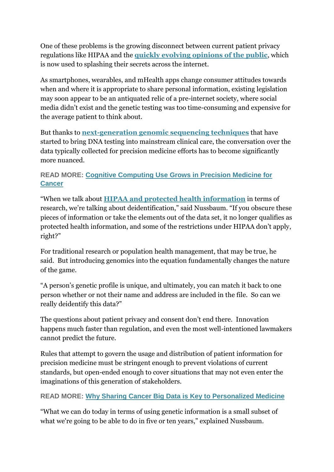One of these problems is the growing disconnect between current patient privacy regulations like HIPAA and the **[quickly evolving opinions of the public](https://ehrintelligence.com/news/patient-engagement-desire-share-ehr-data-widespread)**, which is now used to splashing their secrets across the internet.

As smartphones, wearables, and mHealth apps change consumer attitudes towards when and where it is appropriate to share personal information, existing legislation may soon appear to be an antiquated relic of a pre-internet society, where social media didn't exist and the genetic testing was too time-consuming and expensive for the average patient to think about.

But thanks to **[next-generation genomic sequencing techniques](https://healthitanalytics.com/news/next-gen-genomic-testing-a-focal-point-for-precision-medicine)** that have started to bring DNA testing into mainstream clinical care, the conversation over the data typically collected for precision medicine efforts has to become significantly more nuanced.

## **READ MORE: [Cognitive Computing Use Grows in Precision Medicine for](https://healthitanalytics.com/news/cognitive-computing-use-grows-in-precision-medicine-for-cancer)  [Cancer](https://healthitanalytics.com/news/cognitive-computing-use-grows-in-precision-medicine-for-cancer)**

"When we talk about **[HIPAA and protected health information](https://healthitsecurity.com/news/hipaa-privacy-rule-permitted-phi-uses-and-disclosures)** in terms of research, we're talking about deidentification," said Nussbaum. "If you obscure these pieces of information or take the elements out of the data set, it no longer qualifies as protected health information, and some of the restrictions under HIPAA don't apply, right?"

For traditional research or population health management, that may be true, he said. But introducing genomics into the equation fundamentally changes the nature of the game.

"A person's genetic profile is unique, and ultimately, you can match it back to one person whether or not their name and address are included in the file. So can we really deidentify this data?"

The questions about patient privacy and consent don't end there. Innovation happens much faster than regulation, and even the most well-intentioned lawmakers cannot predict the future.

Rules that attempt to govern the usage and distribution of patient information for precision medicine must be stringent enough to prevent violations of current standards, but open-ended enough to cover situations that may not even enter the imaginations of this generation of stakeholders.

## **READ MORE: [Why Sharing Cancer Big Data is Key to Personalized Medicine](https://healthitanalytics.com/news/why-sharing-cancer-big-data-is-key-to-personalized-medicine)**

"What we can do today in terms of using genetic information is a small subset of what we're going to be able to do in five or ten years," explained Nussbaum.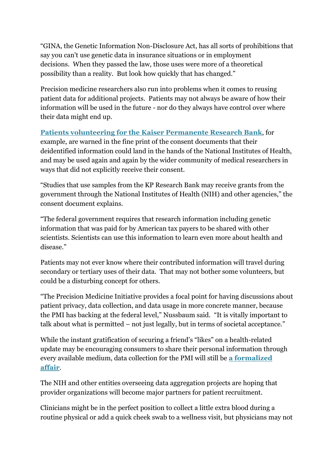"GINA, the Genetic Information Non-Disclosure Act, has all sorts of prohibitions that say you can't use genetic data in insurance situations or in employment decisions. When they passed the law, those uses were more of a theoretical possibility than a reality. But look how quickly that has changed."

Precision medicine researchers also run into problems when it comes to reusing patient data for additional projects. Patients may not always be aware of how their information will be used in the future - nor do they always have control over where their data might end up.

**[Patients volunteering for the Kaiser Permanente Research Bank](https://healthitanalytics.com/news/kaiser-permanente-expands-precision-medicine-biobanking-effort)**, for example, are warned in the fine print of the consent documents that their deidentified information could land in the hands of the National Institutes of Health, and may be used again and again by the wider community of medical researchers in ways that did not explicitly receive their consent.

"Studies that use samples from the KP Research Bank may receive grants from the government through the National Institutes of Health (NIH) and other agencies," the consent document explains.

"The federal government requires that research information including genetic information that was paid for by American tax payers to be shared with other scientists. Scientists can use this information to learn even more about health and disease."

Patients may not ever know where their contributed information will travel during secondary or tertiary uses of their data. That may not bother some volunteers, but could be a disturbing concept for others.

"The Precision Medicine Initiative provides a focal point for having discussions about patient privacy, data collection, and data usage in more concrete manner, because the PMI has backing at the federal level," Nussbaum said. "It is vitally important to talk about what is permitted – not just legally, but in terms of societal acceptance."

While the instant gratification of securing a friend's "likes" on a health-related update may be encouraging consumers to share their personal information through every available medium, data collection for the PMI will still be **[a formalized](https://healthitanalytics.com/news/nih-unveils-precision-medicine-genomics-big-data-analytics-plan)  [affair](https://healthitanalytics.com/news/nih-unveils-precision-medicine-genomics-big-data-analytics-plan)**.

The NIH and other entities overseeing data aggregation projects are hoping that provider organizations will become major partners for patient recruitment.

Clinicians might be in the perfect position to collect a little extra blood during a routine physical or add a quick cheek swab to a wellness visit, but physicians may not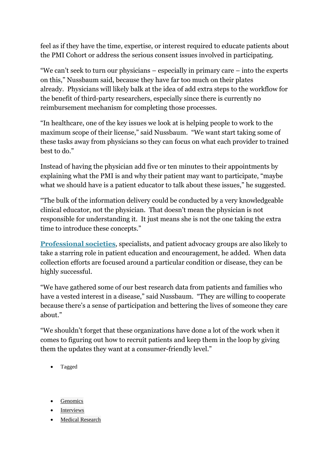feel as if they have the time, expertise, or interest required to educate patients about the PMI Cohort or address the serious consent issues involved in participating.

"We can't seek to turn our physicians – especially in primary care – into the experts on this," Nussbaum said, because they have far too much on their plates already. Physicians will likely balk at the idea of add extra steps to the workflow for the benefit of third-party researchers, especially since there is currently no reimbursement mechanism for completing those processes.

"In healthcare, one of the key issues we look at is helping people to work to the maximum scope of their license," said Nussbaum. "We want start taking some of these tasks away from physicians so they can focus on what each provider to trained best to do."

Instead of having the physician add five or ten minutes to their appointments by explaining what the PMI is and why their patient may want to participate, "maybe what we should have is a patient educator to talk about these issues," he suggested.

"The bulk of the information delivery could be conducted by a very knowledgeable clinical educator, not the physician. That doesn't mean the physician is not responsible for understanding it. It just means she is not the one taking the extra time to introduce these concepts."

**[Professional societies](https://healthitanalytics.com/news/professional-societies-universities-embrace-big-data-analytics)**, specialists, and patient advocacy groups are also likely to take a starring role in patient education and encouragement, he added. When data collection efforts are focused around a particular condition or disease, they can be highly successful.

"We have gathered some of our best research data from patients and families who have a vested interest in a disease," said Nussbaum. "They are willing to cooperate because there's a sense of participation and bettering the lives of someone they care about."

"We shouldn't forget that these organizations have done a lot of the work when it comes to figuring out how to recruit patients and keep them in the loop by giving them the updates they want at a consumer-friendly level."

- Tagged
- **[Genomics](https://healthitanalytics.com/tag/genomics)**
- [Interviews](https://healthitanalytics.com/tag/interviews)
- [Medical Research](https://healthitanalytics.com/tag/medical-research)